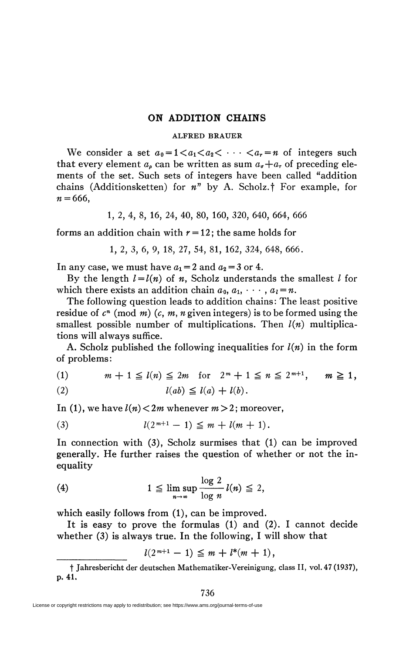## **ON ADDITION CHAINS**

## **ALFRED BRAUER**

We consider a set  $a_0 = 1 < a_1 < a_2 < \cdots < a_r = n$  of integers such that every element  $a_{\rho}$  can be written as sum  $a_{\sigma}+a_{\tau}$  of preceding elements of the set. Such sets of integers have been called "addition chains (Additionsketten) for *n"* by A. Scholz.f For example, for  $n = 666$ .

1, 2, 4, 8, 16, 24, 40, 80, 160, 320, 640, 664, 666

forms an addition chain with  $r = 12$ ; the same holds for

1, 2, 3, 6, 9, 18, 27, 54, 81, 162, 324, 648, 666.

In any case, we must have  $a_1 = 2$  and  $a_2 = 3$  or 4.

By the length  $l = l(n)$  of *n*, Scholz understands the smallest *l* for which there exists an addition chain  $a_0, a_1, \dots, a_i = n$ .

The following question leads to addition chains: The least positive residue of  $c<sup>n</sup>$  (mod *m*) ( $c$ ,  $m$ ,  $n$  given integers) is to be formed using the smallest possible number of multiplications. Then  $l(n)$  multiplications will always suffice.

A. Scholz published the following inequalities for  $l(n)$  in the form of problems:

(1) 
$$
m + 1 \le l(n) \le 2m
$$
 for  $2^m + 1 \le n \le 2^{m+1}$ ,  $m \ge 1$ ,  
(2)  $l(ab) \le l(a) + l(b)$ .

In (1), we have  $l(n) < 2m$  whenever  $m > 2$ ; moreover,

(3) 
$$
l(2^{m+1}-1) \leq m + l(m+1).
$$

In connection with (3), Scholz surmises that (1) can be improved generally. He further raises the question of whether or not the inequality

(4) 
$$
1 \leq \limsup_{n \to \infty} \frac{\log 2}{\log n} l(n) \leq 2,
$$

which easily follows from (1), can be improved.

It is easy to prove the formulas (1) and (2). I cannot decide whether (3) is always true. In the following, I will show that

$$
l(2^{m+1}-1) \leq m + l^*(m+1),
$$

f Jahresbericht der deutschen Mathematiker-Vereinigung, class II, vol. 47 (1937), p. 41.

License or copyright restrictions may apply to redistribution; see https://www.ams.org/journal-terms-of-use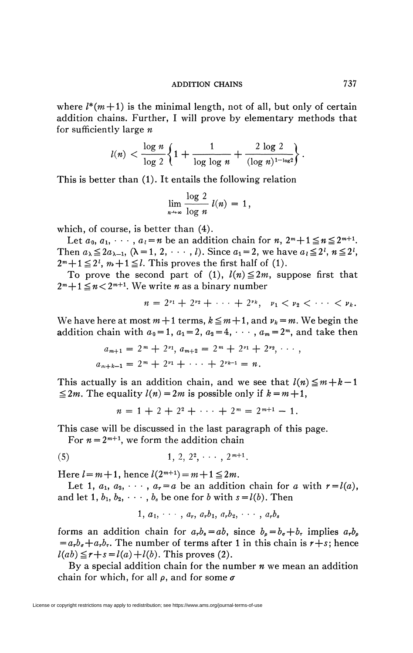## **ADDITION CHAINS** 737

where  $l^*(m+1)$  is the minimal length, not of all, but only of certain addition chains. Further, I will prove by elementary methods that for sufficiently large *n* 

$$
l(n) < \frac{\log n}{\log 2} \left\{ 1 + \frac{1}{\log \log n} + \frac{2 \log 2}{(\log n)^{1-\log 2}} \right\}.
$$

This is better than (1). It entails the following relation

$$
\lim_{n\to\infty}\frac{\log 2}{\log n}\,l(n)=1,
$$

which, of course, is better than (4).

Let  $a_0, a_1, \dots, a_i = n$  be an addition chain for  $n, 2^m + 1 \le n \le 2^{m+1}$ . Then  $a_{\lambda} \leq 2a_{\lambda-1}$ ,  $(\lambda = 1, 2, \cdots, l)$ . Since  $a_1 = 2$ , we have  $a_i \leq 2^i$ ,  $n \leq 2^i$ ,  $2<sup>m</sup>+1 \leq 2<sup>l</sup>$ ,  $m+1 \leq l$ . This proves the first half of (1).

To prove the second part of (1),  $l(n) \leq 2m$ , suppose first that  $2<sup>m</sup>+1 \le n < 2<sup>m+1</sup>$ . We write *n* as a binary number

$$
n = 2^{\nu_1} + 2^{\nu_2} + \cdots + 2^{\nu_k}, \quad \nu_1 < \nu_2 < \cdots < \nu_k.
$$

We have here at most  $m+1$  terms,  $k \leq m+1$ , and  $\nu_k = m$ . We begin the addition chain with  $a_0 = 1$ ,  $a_1 = 2$ ,  $a_2 = 4$ ,  $\cdots$ ,  $a_m = 2^m$ , and take then

$$
a_{m+1} = 2^m + 2^{v_1}, a_{m+2} = 2^m + 2^{v_1} + 2^{v_2}, \cdots,
$$
  

$$
a_{m+k-1} = 2^m + 2^{v_1} + \cdots + 2^{v_{k-1}} = n.
$$

This actually is an addition chain, and we see that  $l(n) \leq m+k-1$  $\leq 2m$ . The equality  $l(n) = 2m$  is possible only if  $k = m+1$ ,

$$
n = 1 + 2 + 2^2 + \cdots + 2^m = 2^{m+1} - 1.
$$

This case will be discussed in the last paragraph of this page.

For  $n = 2^{m+1}$ , we form the addition chain

$$
(5) \t1, 2, 2^2, \cdots, 2^{m+1}.
$$

Here  $l = m + 1$ , hence  $l(2^{m+1}) = m + 1 \leq 2m$ .

Let 1,  $a_1$ ,  $a_2$ ,  $\dots$ ,  $a_r = a$  be an addition chain for *a* with  $r = l(a)$ , and let 1,  $b_1, b_2, \cdots, b_s$  be one for *b* with  $s = l(b)$ . Then

$$
1, a_1, \cdots, a_r, a_r b_1, a_r b_2, \cdots, a_r b_s
$$

forms an addition chain for  $a_r b_s = ab$ , since  $b_\rho = b_\sigma + b_\tau$  implies  $a_r b_\rho$  $=a_r b_r+a_r b_r$ . The number of terms after 1 in this chain is  $r+s$ ; hence  $l(ab) \leq r+s = l(a)+l(b)$ . This proves (2).

By a special addition chain for the number *n* we mean an addition chain for which, for all  $\rho$ , and for some  $\sigma$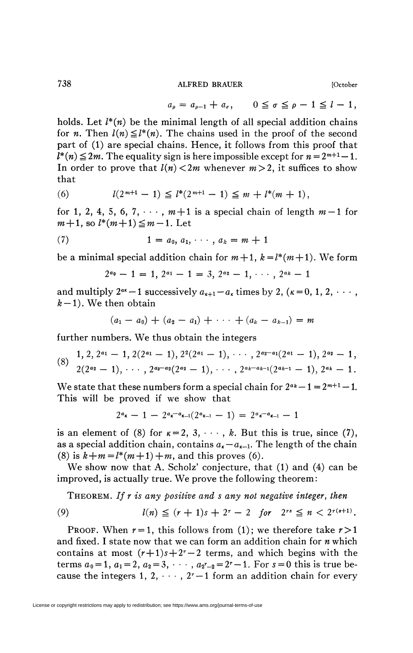738 ALFRED BRAUER [October

$$
a_{\rho} = a_{\rho-1} + a_{\sigma}, \qquad 0 \leq \sigma \leq \rho - 1 \leq l - 1,
$$

holds. Let  $l^*(n)$  be the minimal length of all special addition chains for *n*. Then  $l(n) \leq l^*(n)$ . The chains used in the proof of the second part of (1) are special chains. Hence, it follows from this proof that  $l^*(n) \leq 2m$ . The equality sign is here impossible except for  $n = 2^{m+1} - 1$ . In order to prove that  $l(n) < 2m$  whenever  $m > 2$ , it suffices to show that

(6) 
$$
l(2^{m+1}-1) \leq l^*(2^{m+1}-1) \leq m + l^*(m+1),
$$

for 1, 2, 4, 5, 6, 7,  $\cdots$ ,  $m+1$  is a special chain of length  $m-1$  for  $m + 1$ , so  $l^*(m + 1) \leq m - 1$ . Let

(7) 
$$
1 = a_0, a_1, \cdots, a_k = m + 1
$$

be a minimal special addition chain for  $m+1$ ,  $k=l^*(m+1)$ . We form

$$
2^{a_0}-1=1, 2^{a_1}-1=3, 2^{a_2}-1, \cdots, 2^{a_k}-1
$$

and multiply  $2^{a\kappa} - 1$  successively  $a_{\kappa+1} - a_{\kappa}$  times by 2, ( $\kappa = 0, 1, 2, \cdots$ ,  $k-1$ ). We then obtain

$$
(a_1 - a_0) + (a_2 - a_1) + \cdots + (a_k - a_{k-1}) = m
$$

further numbers. We thus obtain the integers

$$
(8) \quad 1, 2, 2^{a_1}-1, 2(2^{a_1}-1), 2^2(2^{a_1}-1), \cdots, 2^{a_2-a_1}(2^{a_1}-1), 2^{a_2}-1, \\ 2(2^{a_2}-1), \cdots, 2^{a_3-a_2}(2^{a_2}-1), \cdots, 2^{a_k-a_{k-1}}(2^{a_{k-1}}-1), 2^{a_k}-1.
$$

We state that these numbers form a special chain for  $2^{a_k}-1=2^{m+1}-1$ . This will be proved if we show that

$$
2^{a_{\kappa}}-1-2^{a_{\kappa}-a_{\kappa-1}}(2^{a_{\kappa-1}}-1)=2^{a_{\kappa}-a_{\kappa-1}}-1
$$

is an element of (8) for  $\kappa = 2, 3, \dots, k$ . But this is true, since (7), as a special addition chain, contains  $a_k - a_{k-1}$ . The length of the chain (8) is  $k+m=l^{*}(m+1)+m$ , and this proves (6).

We show now that A. Scholz' conjecture, that (1) and (4) can be improved, is actually true. We prove the following theorem:

THEOREM. *If r is any positive and s any not negative integer, then* 

(9) 
$$
l(n) \leq (r+1)s + 2^r - 2 \quad \text{for} \quad 2^{rs} \leq n < 2^{r(s+1)}.
$$

PROOF. When  $r = 1$ , this follows from (1); we therefore take  $r > 1$ and fixed. I state now that we can form an addition chain for *n* which contains at most  $(r+1)s+2^r-2$  terms, and which begins with the terms  $a_0 = 1$ ,  $a_1 = 2$ ,  $a_2 = 3$ ,  $\cdots$ ,  $a_{2^r-2} = 2^r - 1$ . For  $s = 0$  this is true because the integers 1, 2,  $\dots$ ,  $2^r - 1$  form an addition chain for every